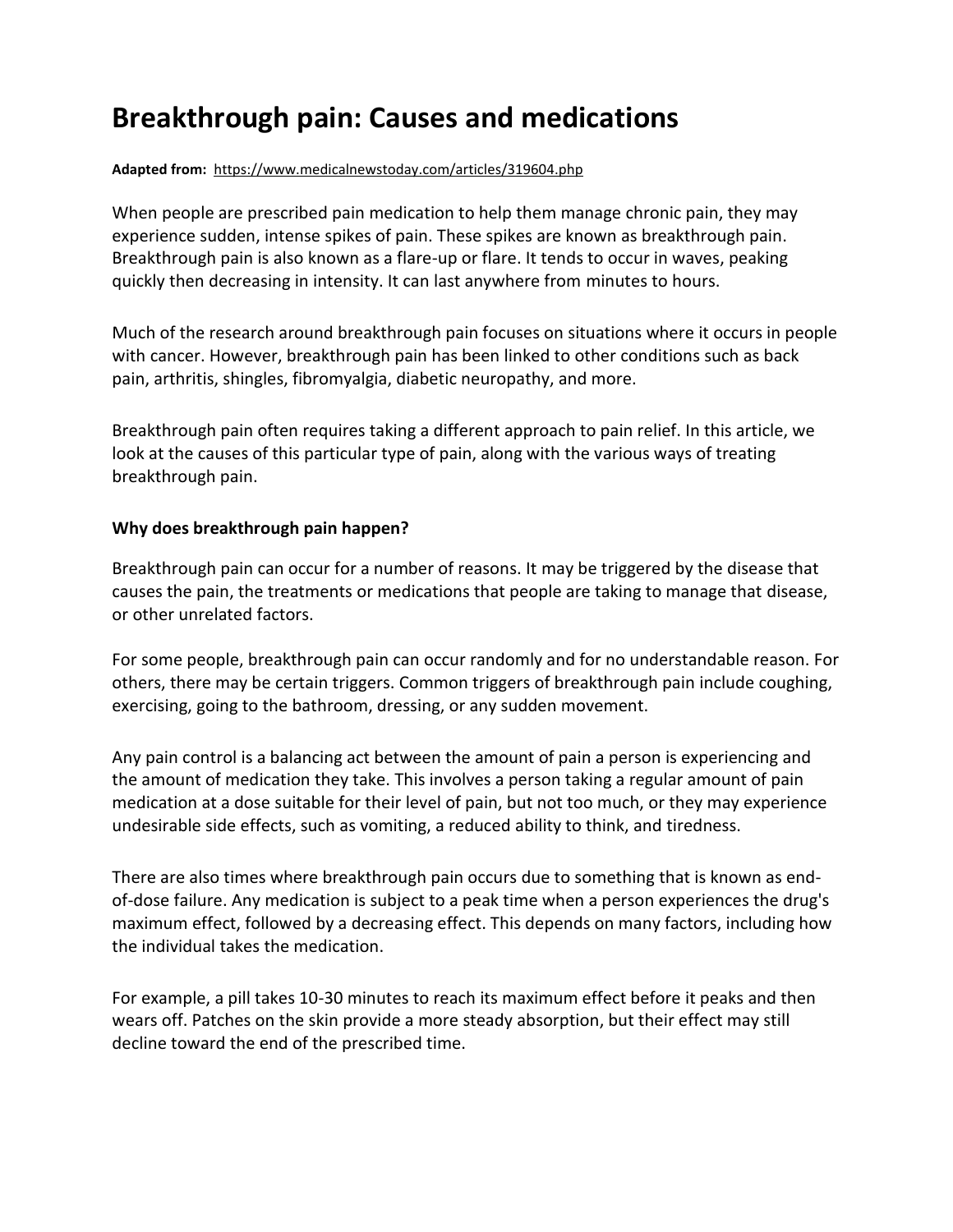# **Breakthrough pain: Causes and medications**

#### **Adapted from:** https://www.medicalnewstoday.com/articles/319604.php

When people are prescribed pain medication to help them manage chronic pain, they may experience sudden, intense spikes of pain. These spikes are known as breakthrough pain. Breakthrough pain is also known as a flare-up or flare. It tends to occur in waves, peaking quickly then decreasing in intensity. It can last anywhere from minutes to hours.

Much of the research around breakthrough pain focuses on situations where it occurs in people with cancer. However, breakthrough pain has been linked to other conditions such as back pain, arthritis, shingles, fibromyalgia, diabetic neuropathy, and more.

Breakthrough pain often requires taking a different approach to pain relief. In this article, we look at the causes of this particular type of pain, along with the various ways of treating breakthrough pain.

### **Why does breakthrough pain happen?**

Breakthrough pain can occur for a number of reasons. It may be triggered by the disease that causes the pain, the treatments or medications that people are taking to manage that disease, or other unrelated factors.

For some people, breakthrough pain can occur randomly and for no understandable reason. For others, there may be certain triggers. Common triggers of breakthrough pain include coughing, exercising, going to the bathroom, dressing, or any sudden movement.

Any pain control is a balancing act between the amount of pain a person is experiencing and the amount of medication they take. This involves a person taking a regular amount of pain medication at a dose suitable for their level of pain, but not too much, or they may experience undesirable side effects, such as vomiting, a reduced ability to think, and [tiredness.](https://www.medicalnewstoday.com/articles/248002.php)

There are also times where breakthrough pain occurs due to something that is known as endof-dose failure. Any medication is subject to a peak time when a person experiences the drug's maximum effect, followed by a decreasing effect. This depends on many factors, including how the individual takes the medication.

For example, a pill takes 10-30 minutes to reach its maximum effect before it peaks and then wears off. Patches on the skin provide a more steady absorption, but their effect may still decline toward the end of the prescribed time.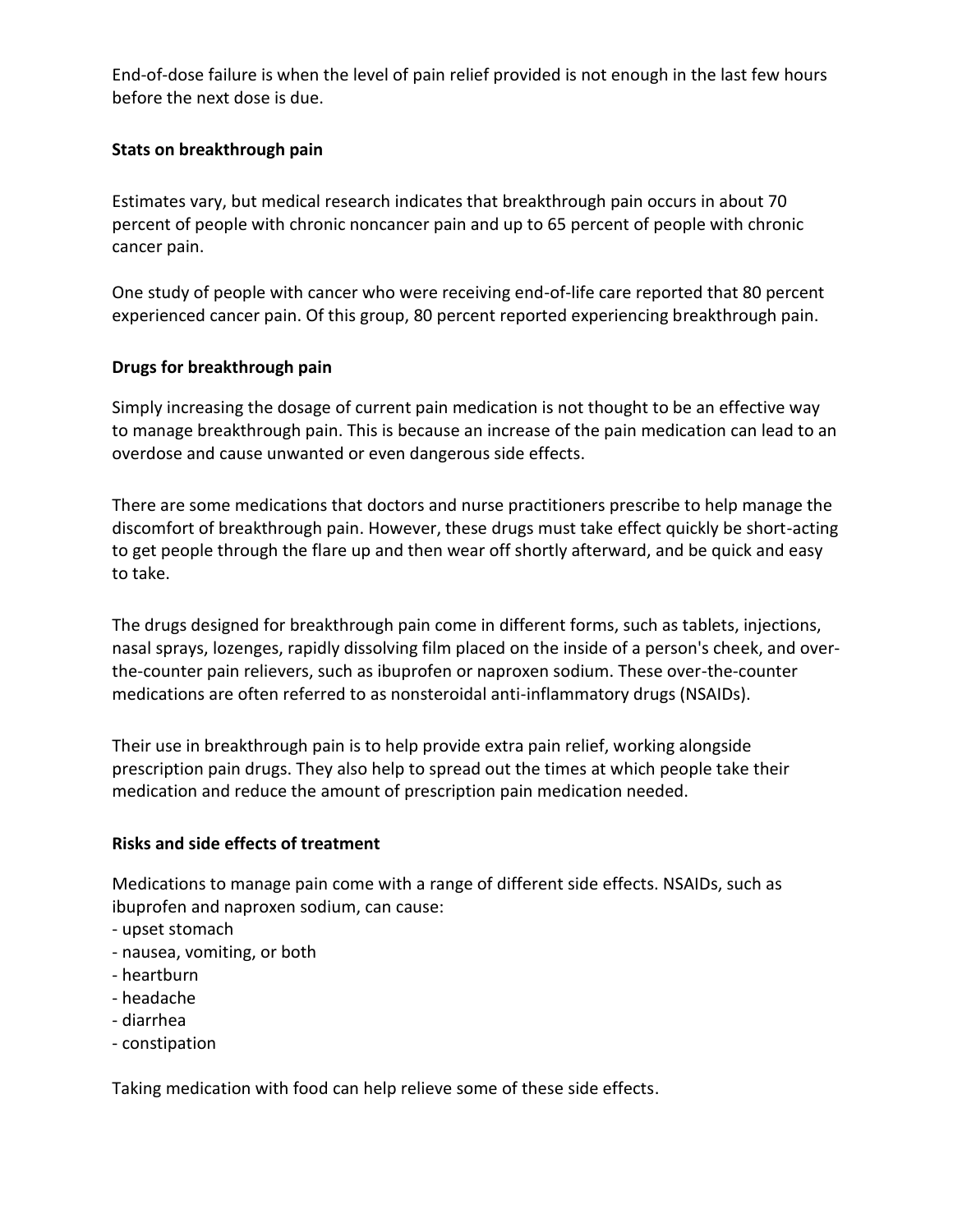End-of-dose failure is when the level of pain relief provided is not enough in the last few hours before the next dose is due.

### **Stats on breakthrough pain**

Estimates vary, but medical research indicates that breakthrough pain occurs in about 70 percent of people with chronic noncancer pain and up to 65 percent of people with chronic cancer pain.

One study of people with cancer who were receiving end-of-life care reported that 80 percent experienced cancer pain. Of this group, 80 percent reported experiencing breakthrough pain.

### **Drugs for breakthrough pain**

Simply increasing the dosage of current pain medication is not thought to be an effective way to manage breakthrough pain. This is because an increase of the pain medication can lead to an overdose and cause unwanted or even dangerous side effects.

There are some medications that doctors and nurse practitioners prescribe to help manage the discomfort of breakthrough pain. However, these drugs must take effect quickly be short-acting to get people through the flare up and then wear off shortly afterward, and be quick and easy to take.

The drugs designed for breakthrough pain come in different forms, such as tablets, injections, nasal sprays, lozenges, rapidly dissolving film placed on the inside of a person's cheek, and overthe-counter pain relievers, such as ibuprofen or naproxen sodium. These over-the-counter medications are often referred to as nonsteroidal anti-inflammatory drugs (NSAIDs).

Their use in breakthrough pain is to help provide extra pain relief, working alongside prescription pain drugs. They also help to spread out the times at which people take their medication and reduce the amount of prescription pain medication needed.

#### **Risks and side effects of treatment**

Medications to manage pain come with a range of different side effects. NSAIDs, such as ibuprofen and naproxen sodium, can cause:

- upset stomach
- nausea, vomiting, or both
- heartburn
- headache
- diarrhea
- constipation

Taking medication with food can help relieve some of these side effects.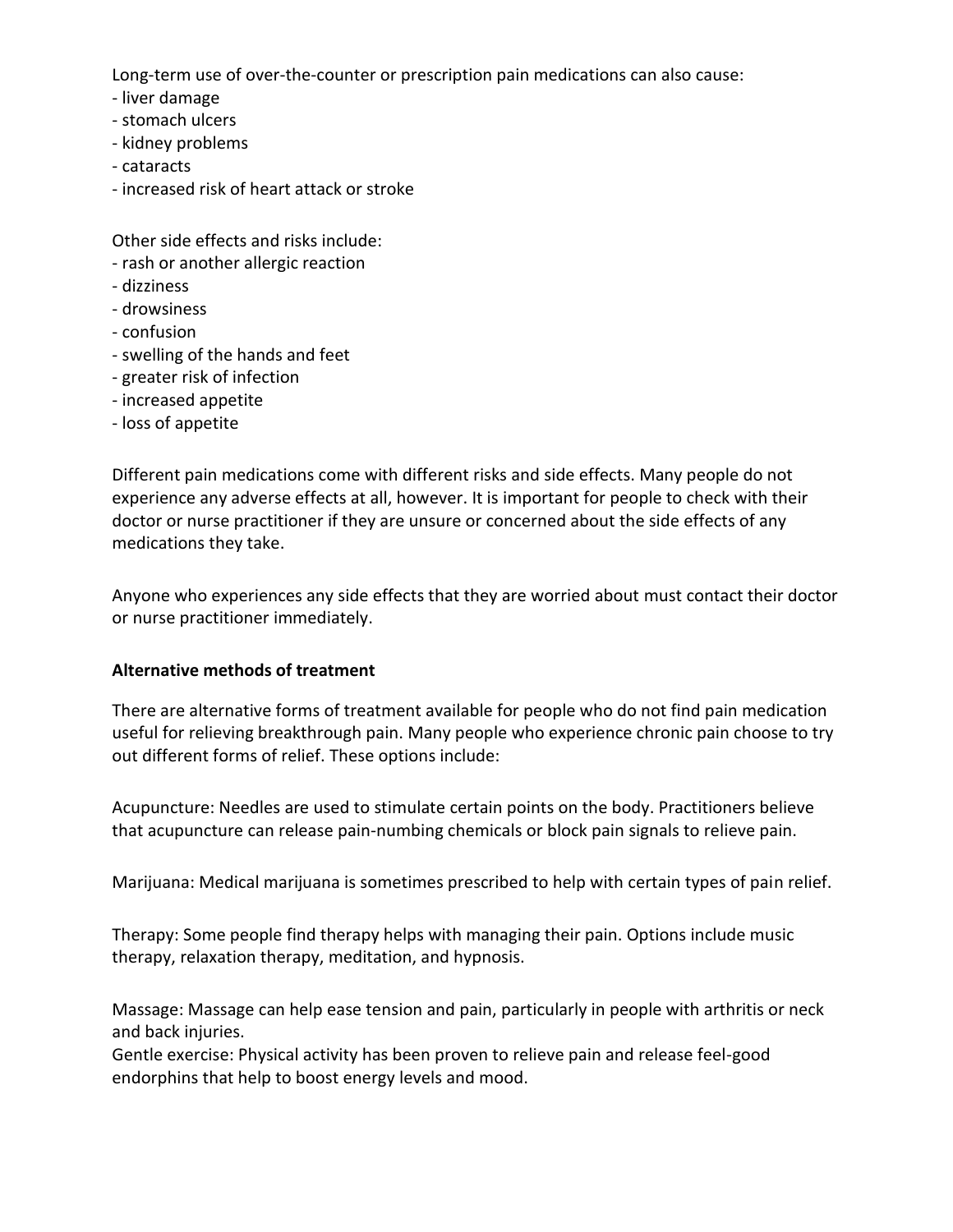Long-term use of over-the-counter or prescription pain medications can also cause:

- liver damage
- stomach ulcers
- kidney problems
- cataracts
- increased risk of heart attack or stroke

Other side effects and risks include:

- rash or another allergic reaction
- dizziness
- drowsiness
- confusion
- swelling of the hands and feet
- greater risk of infection
- increased appetite
- loss of appetite

Different pain medications come with different risks and side effects. Many people do not experience any adverse effects at all, however. It is important for people to check with their doctor or nurse practitioner if they are unsure or concerned about the side effects of any medications they take.

Anyone who experiences any side effects that they are worried about must contact their doctor or nurse practitioner immediately.

# **Alternative methods of treatment**

There are alternative forms of treatment available for people who do not find pain medication useful for relieving breakthrough pain. Many people who experience chronic pain choose to try out different forms of relief. These options include:

Acupuncture: Needles are used to stimulate certain points on the body. Practitioners believe that acupuncture can release pain-numbing chemicals or block pain signals to relieve pain.

Marijuana: Medical marijuana is sometimes prescribed to help with certain types of pain relief.

Therapy: Some people find therapy helps with managing their pain. Options include music therapy, relaxation therapy, meditation, and hypnosis.

Massage: Massage can help ease tension and pain, particularly in people with arthritis or neck and back injuries.

Gentle exercise: Physical activity has been proven to relieve pain and release feel-good endorphins that help to boost energy levels and mood.